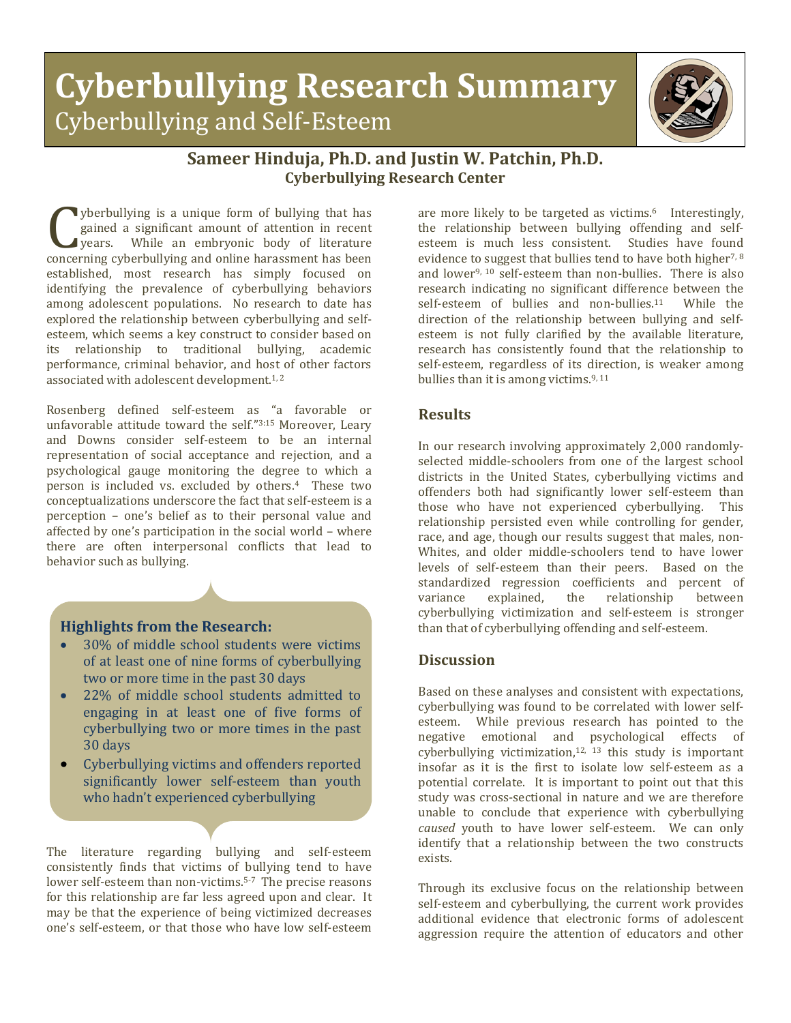# **Cyberbullying Research Summary** Cyberbullying and Self-Esteem



## **Sameer Hinduja, Ph.D. and Justin W. Patchin, Ph.D. Cyberbullying Research Center**

yberbullying is a unique form of bullying that has gained a significant amount of attention in recent years. While an embryonic body of literature spectrumying is a unique form of bunying that has<br>gained a significant amount of attention in recent<br>years. While an embryonic body of literature<br>concerning cyberbullying and online harassment has been<br>established most res established, most research has simply focused on identifying the prevalence of cyberbullying behaviors among adolescent populations. No research to date has explored the relationship between cyberbullying and selfesteem, which seems a key construct to consider based on<br>its relationship to traditional bullying academic relationship to traditional bullying, academic performance, criminal behavior, and host of other factors associated with adolescent development.<sup>1,2</sup>

Rosenberg defined self-esteem as "a favorable or unfavorable attitude toward the self."3:15 Moreover, Leary and Downs consider self-esteem to be an internal representation of social acceptance and rejection, and a psychological gauge monitoring the degree to which a person is included vs. excluded by others.4 These two conceptualizations underscore the fact that self-esteem is a perception – one's belief as to their personal value and affected by one's participation in the social world – where there are often interpersonal conflicts that lead to behavior such as bullying.

#### **Highlights from the Research:**

- 30% of middle school students were victims of at least one of nine forms of cyberbullying two or more time in the past 30 days
- 22% of middle school students admitted to engaging in at least one of five forms of cyberbullying two or more times in the past 30 days
- Cyberbullying victims and offenders reported significantly lower self-esteem than youth who hadn't experienced cyberbullying

The literature regarding bullying and self-esteem consistently finds that victims of bullying tend to have lower self-esteem than non-victims.<sup>5-7</sup> The precise reasons for this relationship are far less agreed upon and clear. It may be that the experience of being victimized decreases one's self-esteem, or that those who have low self-esteem

are more likely to be targeted as victims.<sup>6</sup> Interestingly, the relationship between bullying offending and selfesteem is much less consistent. Studies have found evidence to suggest that bullies tend to have both higher<sup>7,8</sup> and lower9, 10 self-esteem than non-bullies. There is also research indicating no significant difference between the self-esteem of bullies and non-bullies.<sup>11</sup> While the self-esteem of bullies and non-bullies. $11$ direction of the relationship between bullying and selfesteem is not fully clarified by the available literature, research has consistently found that the relationship to self-esteem, regardless of its direction, is weaker among bullies than it is among victims. $9,11$ 

### **Results**

In our research involving approximately 2,000 randomlyselected middle-schoolers from one of the largest school districts in the United States, cyberbullying victims and offenders both had significantly lower self-esteem than those who have not experienced cyberbullying. This relationship persisted even while controlling for gender, race, and age, though our results suggest that males, non-Whites, and older middle-schoolers tend to have lower levels of self-esteem than their peers. Based on the standardized regression coefficients and percent of variance explained, the relationship between cyberbullying victimization and self-esteem is stronger than that of cyberbullying offending and self-esteem.

#### **Discussion**

Based on these analyses and consistent with expectations, cyberbullying was found to be correlated with lower selfesteem. While previous research has pointed to the negative emotional and psychological effects of cyberbullying victimization, $12, 13$  this study is important insofar as it is the first to isolate low self-esteem as a potential correlate. It is important to point out that this study was cross-sectional in nature and we are therefore unable to conclude that experience with cyberbullying *caused* youth to have lower self-esteem. We can only identify that a relationship between the two constructs exists.

Through its exclusive focus on the relationship between self-esteem and cyberbullying, the current work provides additional evidence that electronic forms of adolescent aggression require the attention of educators and other